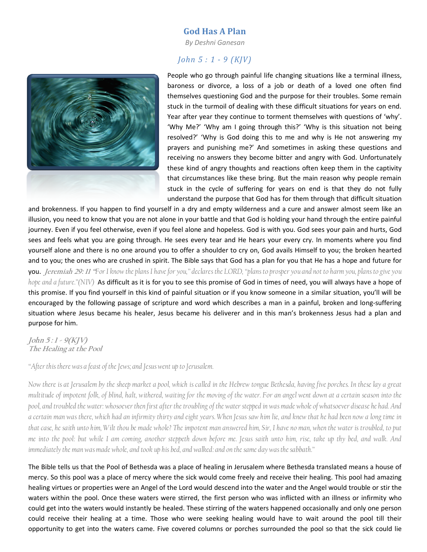## God Has A Plan

By Deshni Ganesan

## John 5 : 1 - 9 (KJV)



People who go through painful life changing situations like a terminal illness, baroness or divorce, a loss of a job or death of a loved one often find themselves questioning God and the purpose for their troubles. Some remain stuck in the turmoil of dealing with these difficult situations for years on end. Year after year they continue to torment themselves with questions of 'why'. 'Why Me?' 'Why am I going through this?' 'Why is this situation not being resolved?' 'Why is God doing this to me and why is He not answering my prayers and punishing me?' And sometimes in asking these questions and receiving no answers they become bitter and angry with God. Unfortunately these kind of angry thoughts and reactions often keep them in the captivity that circumstances like these bring. But the main reason why people remain stuck in the cycle of suffering for years on end is that they do not fully understand the purpose that God has for them through that difficult situation

and brokenness. If you happen to find yourself in a dry and empty wilderness and a cure and answer almost seem like an illusion, you need to know that you are not alone in your battle and that God is holding your hand through the entire painful journey. Even if you feel otherwise, even if you feel alone and hopeless. God is with you. God sees your pain and hurts, God sees and feels what you are going through. He sees every tear and He hears your every cry. In moments where you find yourself alone and there is no one around you to offer a shoulder to cry on, God avails Himself to you; the broken hearted and to you; the ones who are crushed in spirit. The Bible says that God has a plan for you that He has a hope and future for **you.** Jeremiah 29: 11 "For I know the plans I have for you," declares the LORD, "plans to prosper you and not to harm you, plans to give you hope and a future."(NIV) As difficult as it is for you to see this promise of God in times of need, you will always have a hope of this promise. If you find yourself in this kind of painful situation or if you know someone in a similar situation, you'll will be encouraged by the following passage of scripture and word which describes a man in a painful, broken and long-suffering situation where Jesus became his healer, Jesus became his deliverer and in this man's brokenness Jesus had a plan and purpose for him.

## $John 5:1 - 9(KIV)$ The Healing at the Pool

"After this there was a feast of the Jews; and Jesus went up to Jerusalem.

Now there is at Jerusalem by the sheep market a pool, which is called in the Hebrew tongue Bethesda, having five porches. In these lay a great multitude of impotent folk, of blind, halt, withered, waiting for the moving of the water. For an angel went down at a certain season into the pool, and troubled the water: whosoever then first after the troubling of the water stepped in was made whole of whatsoever disease he had. And a certain man was there, which had an infirmity thirty and eight years. When Jesus saw him lie, and knew that he had been now a long time in that case, he saith unto him, Wilt thou be made whole? The impotent man answered him, Sir, I have no man, when the water is troubled, to put me into the pool: but while I am coming, another steppeth down before me. Jesus saith unto him, rise, take up thy bed, and walk. And immediately the man was made whole, and took up his bed, and walked: and on the same day was the sabbath."

The Bible tells us that the Pool of Bethesda was a place of healing in Jerusalem where Bethesda translated means a house of mercy. So this pool was a place of mercy where the sick would come freely and receive their healing. This pool had amazing healing virtues or properties were an Angel of the Lord would descend into the water and the Angel would trouble or stir the waters within the pool. Once these waters were stirred, the first person who was inflicted with an illness or infirmity who could get into the waters would instantly be healed. These stirring of the waters happened occasionally and only one person could receive their healing at a time. Those who were seeking healing would have to wait around the pool till their opportunity to get into the waters came. Five covered columns or porches surrounded the pool so that the sick could lie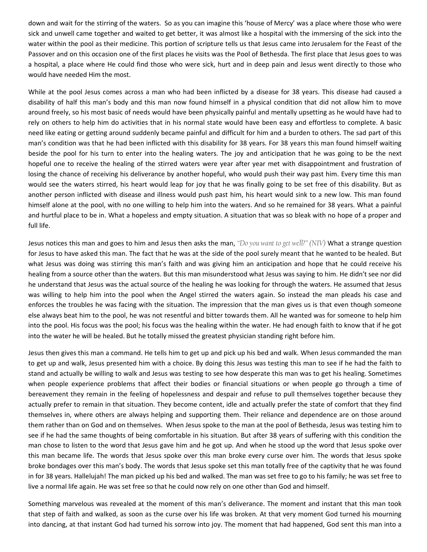down and wait for the stirring of the waters. So as you can imagine this 'house of Mercy' was a place where those who were sick and unwell came together and waited to get better, it was almost like a hospital with the immersing of the sick into the water within the pool as their medicine. This portion of scripture tells us that Jesus came into Jerusalem for the Feast of the Passover and on this occasion one of the first places he visits was the Pool of Bethesda. The first place that Jesus goes to was a hospital, a place where He could find those who were sick, hurt and in deep pain and Jesus went directly to those who would have needed Him the most.

While at the pool Jesus comes across a man who had been inflicted by a disease for 38 years. This disease had caused a disability of half this man's body and this man now found himself in a physical condition that did not allow him to move around freely, so his most basic of needs would have been physically painful and mentally upsetting as he would have had to rely on others to help him do activities that in his normal state would have been easy and effortless to complete. A basic need like eating or getting around suddenly became painful and difficult for him and a burden to others. The sad part of this man's condition was that he had been inflicted with this disability for 38 years. For 38 years this man found himself waiting beside the pool for his turn to enter into the healing waters. The joy and anticipation that he was going to be the next hopeful one to receive the healing of the stirred waters were year after year met with disappointment and frustration of losing the chance of receiving his deliverance by another hopeful, who would push their way past him. Every time this man would see the waters stirred, his heart would leap for joy that he was finally going to be set free of this disability. But as another person inflicted with disease and illness would push past him, his heart would sink to a new low. This man found himself alone at the pool, with no one willing to help him into the waters. And so he remained for 38 years. What a painful and hurtful place to be in. What a hopeless and empty situation. A situation that was so bleak with no hope of a proper and full life.

Jesus notices this man and goes to him and Jesus then asks the man, "Do you want to get well?" (NIV) What a strange question for Jesus to have asked this man. The fact that he was at the side of the pool surely meant that he wanted to be healed. But what Jesus was doing was stirring this man's faith and was giving him an anticipation and hope that he could receive his healing from a source other than the waters. But this man misunderstood what Jesus was saying to him. He didn't see nor did he understand that Jesus was the actual source of the healing he was looking for through the waters. He assumed that Jesus was willing to help him into the pool when the Angel stirred the waters again. So instead the man pleads his case and enforces the troubles he was facing with the situation. The impression that the man gives us is that even though someone else always beat him to the pool, he was not resentful and bitter towards them. All he wanted was for someone to help him into the pool. His focus was the pool; his focus was the healing within the water. He had enough faith to know that if he got into the water he will be healed. But he totally missed the greatest physician standing right before him.

Jesus then gives this man a command. He tells him to get up and pick up his bed and walk. When Jesus commanded the man to get up and walk, Jesus presented him with a choice. By doing this Jesus was testing this man to see if he had the faith to stand and actually be willing to walk and Jesus was testing to see how desperate this man was to get his healing. Sometimes when people experience problems that affect their bodies or financial situations or when people go through a time of bereavement they remain in the feeling of hopelessness and despair and refuse to pull themselves together because they actually prefer to remain in that situation. They become content, idle and actually prefer the state of comfort that they find themselves in, where others are always helping and supporting them. Their reliance and dependence are on those around them rather than on God and on themselves. When Jesus spoke to the man at the pool of Bethesda, Jesus was testing him to see if he had the same thoughts of being comfortable in his situation. But after 38 years of suffering with this condition the man chose to listen to the word that Jesus gave him and he got up. And when he stood up the word that Jesus spoke over this man became life. The words that Jesus spoke over this man broke every curse over him. The words that Jesus spoke broke bondages over this man's body. The words that Jesus spoke set this man totally free of the captivity that he was found in for 38 years. Hallelujah! The man picked up his bed and walked. The man was set free to go to his family; he was set free to live a normal life again. He was set free so that he could now rely on one other than God and himself.

Something marvelous was revealed at the moment of this man's deliverance. The moment and instant that this man took that step of faith and walked, as soon as the curse over his life was broken. At that very moment God turned his mourning into dancing, at that instant God had turned his sorrow into joy. The moment that had happened, God sent this man into a